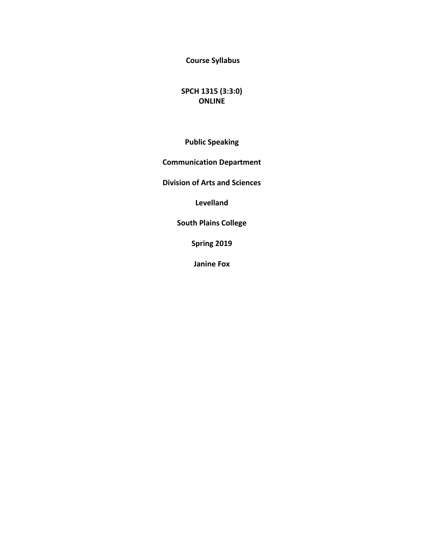**Course Syllabus** 

**SPCH 1315 (3:3:0) ONLINE**

**Public Speaking**

**Communication Department** 

**Division of Arts and Sciences** 

**Levelland**

**South Plains College** 

**Spring 2019**

**Janine Fox**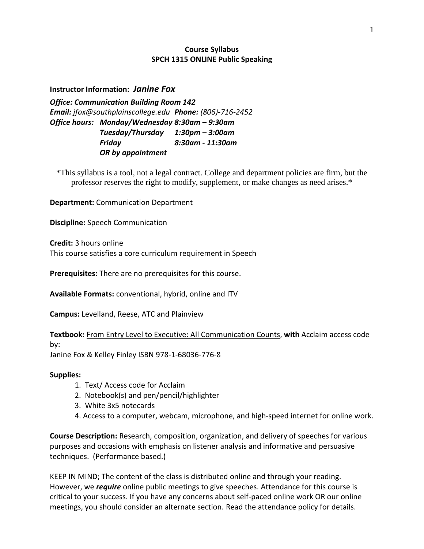### **Course Syllabus SPCH 1315 ONLINE Public Speaking**

**Instructor Information:** *Janine Fox*

*Office: Communication Building Room 142 Email: jfox@southplainscollege.edu Phone: (806)-716-2452 Office hours: Monday/Wednesday 8:30am – 9:30am Tuesday/Thursday 1:30pm – 3:00am Friday 8:30am - 11:30am OR by appointment*

\*This syllabus is a tool, not a legal contract. College and department policies are firm, but the professor reserves the right to modify, supplement, or make changes as need arises.\*

**Department:** Communication Department

**Discipline:** Speech Communication

**Credit:** 3 hours online This course satisfies a core curriculum requirement in Speech

**Prerequisites:** There are no prerequisites for this course.

**Available Formats:** conventional, hybrid, online and ITV

**Campus:** Levelland, Reese, ATC and Plainview

**Textbook:** From Entry Level to Executive: All Communication Counts, **with** Acclaim access code by:

Janine Fox & Kelley Finley ISBN 978-1-68036-776-8

#### **Supplies:**

- 1. Text/ Access code for Acclaim
- 2. Notebook(s) and pen/pencil/highlighter
- 3. White 3x5 notecards
- 4. Access to a computer, webcam, microphone, and high-speed internet for online work.

**Course Description:** Research, composition, organization, and delivery of speeches for various purposes and occasions with emphasis on listener analysis and informative and persuasive techniques. (Performance based.)

KEEP IN MIND; The content of the class is distributed online and through your reading. However, we *require* online public meetings to give speeches. Attendance for this course is critical to your success. If you have any concerns about self-paced online work OR our online meetings, you should consider an alternate section. Read the attendance policy for details.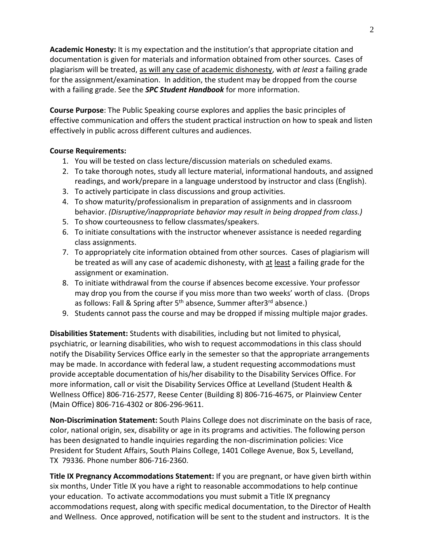**Academic Honesty:** It is my expectation and the institution's that appropriate citation and documentation is given for materials and information obtained from other sources. Cases of plagiarism will be treated, as will any case of academic dishonesty, with *at least* a failing grade for the assignment/examination. In addition, the student may be dropped from the course with a failing grade. See the *SPC Student Handbook* for more information.

**Course Purpose**: The Public Speaking course explores and applies the basic principles of effective communication and offers the student practical instruction on how to speak and listen effectively in public across different cultures and audiences.

### **Course Requirements:**

- 1. You will be tested on class lecture/discussion materials on scheduled exams.
- 2. To take thorough notes, study all lecture material, informational handouts, and assigned readings, and work/prepare in a language understood by instructor and class (English).
- 3. To actively participate in class discussions and group activities.
- 4. To show maturity/professionalism in preparation of assignments and in classroom behavior. *(Disruptive/inappropriate behavior may result in being dropped from class.)*
- 5. To show courteousness to fellow classmates/speakers.
- 6. To initiate consultations with the instructor whenever assistance is needed regarding class assignments.
- 7. To appropriately cite information obtained from other sources. Cases of plagiarism will be treated as will any case of academic dishonesty, with at least a failing grade for the assignment or examination.
- 8. To initiate withdrawal from the course if absences become excessive. Your professor may drop you from the course if you miss more than two weeks' worth of class. (Drops as follows: Fall & Spring after 5<sup>th</sup> absence, Summer after3<sup>rd</sup> absence.)
- 9. Students cannot pass the course and may be dropped if missing multiple major grades.

**Disabilities Statement:** Students with disabilities, including but not limited to physical, psychiatric, or learning disabilities, who wish to request accommodations in this class should notify the Disability Services Office early in the semester so that the appropriate arrangements may be made. In accordance with federal law, a student requesting accommodations must provide acceptable documentation of his/her disability to the Disability Services Office. For more information, call or visit the Disability Services Office at Levelland (Student Health & Wellness Office) 806-716-2577, Reese Center (Building 8) 806-716-4675, or Plainview Center (Main Office) 806-716-4302 or 806-296-9611.

**Non-Discrimination Statement:** South Plains College does not discriminate on the basis of race, color, national origin, sex, disability or age in its programs and activities. The following person has been designated to handle inquiries regarding the non-discrimination policies: Vice President for Student Affairs, South Plains College, 1401 College Avenue, Box 5, Levelland, TX 79336. Phone number 806-716-2360.

**Title IX Pregnancy Accommodations Statement:** If you are pregnant, or have given birth within six months, Under Title IX you have a right to reasonable accommodations to help continue your education. To activate accommodations you must submit a Title IX pregnancy accommodations request, along with specific medical documentation, to the Director of Health and Wellness. Once approved, notification will be sent to the student and instructors. It is the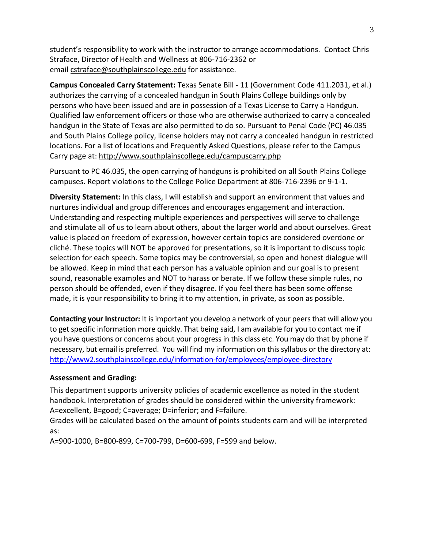student's responsibility to work with the instructor to arrange accommodations. Contact Chris Straface, Director of Health and Wellness at 806-716-2362 or email [cstraface@southplainscollege.edu](mailto:cstraface@southplainscollege.edu) for assistance.

**Campus Concealed Carry Statement:** Texas Senate Bill - 11 (Government Code 411.2031, et al.) authorizes the carrying of a concealed handgun in South Plains College buildings only by persons who have been issued and are in possession of a Texas License to Carry a Handgun. Qualified law enforcement officers or those who are otherwise authorized to carry a concealed handgun in the State of Texas are also permitted to do so. Pursuant to Penal Code (PC) 46.035 and South Plains College policy, license holders may not carry a concealed handgun in restricted locations. For a list of locations and Frequently Asked Questions, please refer to the Campus Carry page at: <http://www.southplainscollege.edu/campuscarry.php>

Pursuant to PC 46.035, the open carrying of handguns is prohibited on all South Plains College campuses. Report violations to the College Police Department at 806-716-2396 or 9-1-1.

**Diversity Statement:** In this class, I will establish and support an environment that values and nurtures individual and group differences and encourages engagement and interaction. Understanding and respecting multiple experiences and perspectives will serve to challenge and stimulate all of us to learn about others, about the larger world and about ourselves. Great value is placed on freedom of expression, however certain topics are considered overdone or cliché. These topics will NOT be approved for presentations, so it is important to discuss topic selection for each speech. Some topics may be controversial, so open and honest dialogue will be allowed. Keep in mind that each person has a valuable opinion and our goal is to present sound, reasonable examples and NOT to harass or berate. If we follow these simple rules, no person should be offended, even if they disagree. If you feel there has been some offense made, it is your responsibility to bring it to my attention, in private, as soon as possible.

**Contacting your Instructor:** It is important you develop a network of your peers that will allow you to get specific information more quickly. That being said, I am available for you to contact me if you have questions or concerns about your progress in this class etc. You may do that by phone if necessary, but email is preferred. You will find my information on this syllabus or the directory at: <http://www2.southplainscollege.edu/information-for/employees/employee-directory>

#### **Assessment and Grading:**

This department supports university policies of academic excellence as noted in the student handbook. Interpretation of grades should be considered within the university framework: A=excellent, B=good; C=average; D=inferior; and F=failure.

Grades will be calculated based on the amount of points students earn and will be interpreted as:

A=900-1000, B=800-899, C=700-799, D=600-699, F=599 and below.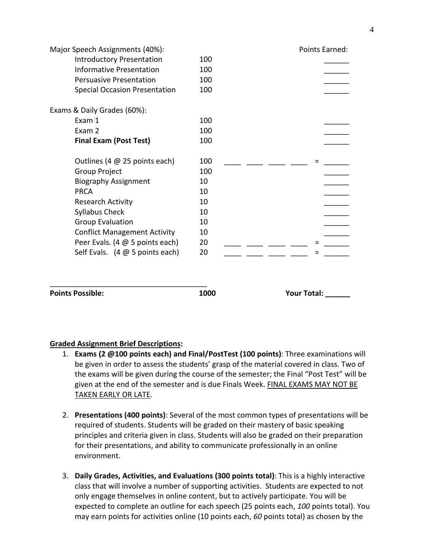| <b>Points Possible:</b>                         | 1000 | <b>Your Total:</b> |
|-------------------------------------------------|------|--------------------|
|                                                 |      |                    |
| Self Evals. $(4 \oslash 5 \text{ points each})$ |      |                    |
|                                                 | 20   |                    |
| Peer Evals. (4 @ 5 points each)                 | 20   |                    |
| <b>Conflict Management Activity</b>             | 10   |                    |
| <b>Group Evaluation</b>                         | 10   |                    |
| <b>Syllabus Check</b>                           | 10   |                    |
| <b>Research Activity</b>                        | 10   |                    |
| <b>PRCA</b>                                     | 10   |                    |
| <b>Biography Assignment</b>                     | 10   |                    |
| Group Project                                   | 100  |                    |
| Outlines (4 $@$ 25 points each)                 | 100  |                    |
| <b>Final Exam (Post Test)</b>                   | 100  |                    |
| Exam 2                                          | 100  |                    |
| Exam 1                                          | 100  |                    |
| Exams & Daily Grades (60%):                     |      |                    |
| <b>Special Occasion Presentation</b>            | 100  |                    |
| <b>Persuasive Presentation</b>                  | 100  |                    |
| <b>Informative Presentation</b>                 | 100  |                    |
| <b>Introductory Presentation</b>                | 100  |                    |
| Major Speech Assignments (40%):                 |      | Points Earned:     |

#### **Graded Assignment Brief Descriptions:**

- 1. **Exams (2 @100 points each) and Final/PostTest (100 points)**: Three examinations will be given in order to assess the students' grasp of the material covered in class. Two of the exams will be given during the course of the semester; the Final "Post Test" will be given at the end of the semester and is due Finals Week. FINAL EXAMS MAY NOT BE TAKEN EARLY OR LATE.
- 2. **Presentations (400 points)**: Several of the most common types of presentations will be required of students. Students will be graded on their mastery of basic speaking principles and criteria given in class. Students will also be graded on their preparation for their presentations, and ability to communicate professionally in an online environment.
- 3. **Daily Grades, Activities, and Evaluations (300 points total)**: This is a highly interactive class that will involve a number of supporting activities. Students are expected to not only engage themselves in online content, but to actively participate. You will be expected to complete an outline for each speech (25 points each, *100* points total). You may earn points for activities online (10 points each, *60* points total) as chosen by the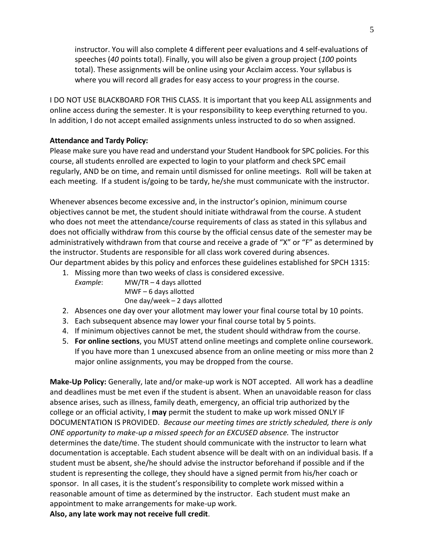instructor. You will also complete 4 different peer evaluations and 4 self-evaluations of speeches (*40* points total). Finally, you will also be given a group project (*100* points total). These assignments will be online using your Acclaim access. Your syllabus is where you will record all grades for easy access to your progress in the course.

I DO NOT USE BLACKBOARD FOR THIS CLASS. It is important that you keep ALL assignments and online access during the semester. It is your responsibility to keep everything returned to you. In addition, I do not accept emailed assignments unless instructed to do so when assigned.

### **Attendance and Tardy Policy:**

Please make sure you have read and understand your Student Handbook for SPC policies. For this course, all students enrolled are expected to login to your platform and check SPC email regularly, AND be on time, and remain until dismissed for online meetings. Roll will be taken at each meeting. If a student is/going to be tardy, he/she must communicate with the instructor.

Whenever absences become excessive and, in the instructor's opinion, minimum course objectives cannot be met, the student should initiate withdrawal from the course. A student who does not meet the attendance/course requirements of class as stated in this syllabus and does not officially withdraw from this course by the official census date of the semester may be administratively withdrawn from that course and receive a grade of "X" or "F" as determined by the instructor. Students are responsible for all class work covered during absences. Our department abides by this policy and enforces these guidelines established for SPCH 1315:

- 1. Missing more than two weeks of class is considered excessive.
	- *Example*: MW/TR 4 days allotted MWF – 6 days allotted One day/week – 2 days allotted
- 2. Absences one day over your allotment may lower your final course total by 10 points.
- 3. Each subsequent absence may lower your final course total by 5 points.
- 4. If minimum objectives cannot be met, the student should withdraw from the course.
- 5. **For online sections**, you MUST attend online meetings and complete online coursework. If you have more than 1 unexcused absence from an online meeting or miss more than 2 major online assignments, you may be dropped from the course.

**Make-Up Policy:** Generally, late and/or make-up work is NOT accepted. All work has a deadline and deadlines must be met even if the student is absent. When an unavoidable reason for class absence arises, such as illness, family death, emergency, an official trip authorized by the college or an official activity, I **may** permit the student to make up work missed ONLY IF DOCUMENTATION IS PROVIDED. *Because our meeting times are strictly scheduled, there is only ONE opportunity to make-up a missed speech for an EXCUSED absence.* The instructor determines the date/time. The student should communicate with the instructor to learn what documentation is acceptable. Each student absence will be dealt with on an individual basis. If a student must be absent, she/he should advise the instructor beforehand if possible and if the student is representing the college, they should have a signed permit from his/her coach or sponsor. In all cases, it is the student's responsibility to complete work missed within a reasonable amount of time as determined by the instructor. Each student must make an appointment to make arrangements for make-up work. **Also, any late work may not receive full credit**.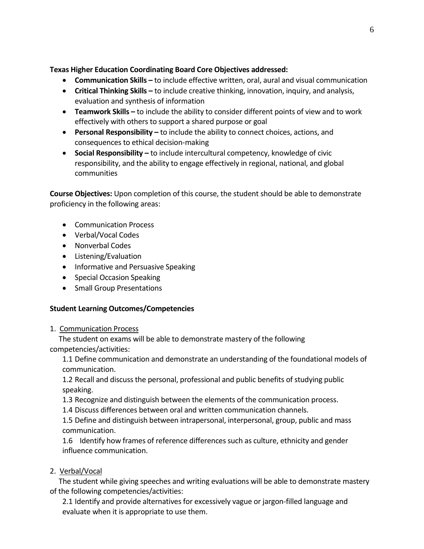**Texas Higher Education Coordinating Board Core Objectives addressed:**

- **Communication Skills -** to include effective written, oral, aural and visual communication
- **Critical Thinking Skills –** to include creative thinking, innovation, inquiry, and analysis, evaluation and synthesis of information
- **Teamwork Skills –** to include the ability to consider different points of view and to work effectively with others to support a shared purpose or goal
- **•** Personal Responsibility to include the ability to connect choices, actions, and consequences to ethical decision-making
- **Social Responsibility –** to include intercultural competency, knowledge of civic responsibility, and the ability to engage effectively in regional, national, and global communities

**Course Objectives:** Upon completion of this course, the student should be able to demonstrate proficiency in the following areas:

- Communication Process
- Verbal/Vocal Codes
- Nonverbal Codes
- Listening/Evaluation
- Informative and Persuasive Speaking
- Special Occasion Speaking
- Small Group Presentations

## **Student Learning Outcomes/Competencies**

1. Communication Process

 The student on exams will be able to demonstrate mastery of the following competencies/activities:

1.1 Define communication and demonstrate an understanding of the foundational models of communication.

1.2 Recall and discuss the personal, professional and public benefits of studying public speaking.

1.3 Recognize and distinguish between the elements of the communication process.

1.4 Discuss differences between oral and written communication channels.

1.5 Define and distinguish between intrapersonal, interpersonal, group, public and mass communication.

1.6 Identify how frames of reference differences such as culture, ethnicity and gender influence communication.

## 2. Verbal/Vocal

 The student while giving speeches and writing evaluations will be able to demonstrate mastery of the following competencies/activities:

2.1 Identify and provide alternatives for excessively vague or jargon-filled language and evaluate when it is appropriate to use them.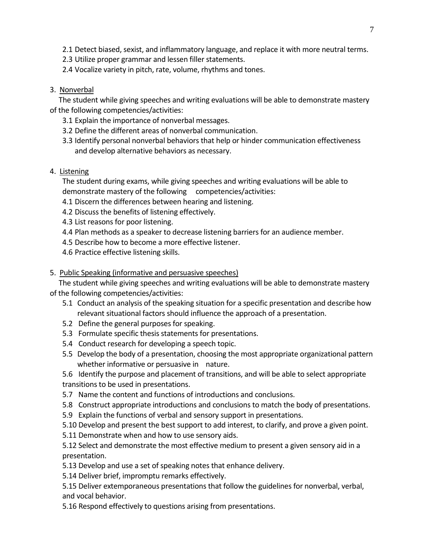- 2.1 Detect biased, sexist, and inflammatory language, and replace it with more neutral terms.
- 2.3 Utilize proper grammar and lessen filler statements.
- 2.4 Vocalize variety in pitch, rate, volume, rhythms and tones.

## 3. Nonverbal

 The student while giving speeches and writing evaluations will be able to demonstrate mastery of the following competencies/activities:

- 3.1 Explain the importance of nonverbal messages.
- 3.2 Define the different areas of nonverbal communication.
- 3.3 Identify personal nonverbal behaviors that help or hinder communication effectiveness and develop alternative behaviors as necessary.

# 4. Listening

The student during exams, while giving speeches and writing evaluations will be able to demonstrate mastery of the following competencies/activities:

- 4.1 Discern the differences between hearing and listening.
- 4.2 Discuss the benefits of listening effectively.
- 4.3 List reasons for poor listening.
- 4.4 Plan methods as a speaker to decrease listening barriers for an audience member.
- 4.5 Describe how to become a more effective listener.
- 4.6 Practice effective listening skills.

## 5. Public Speaking (informative and persuasive speeches)

 The student while giving speeches and writing evaluations will be able to demonstrate mastery of the following competencies/activities:

- 5.1 Conduct an analysis of the speaking situation for a specific presentation and describe how relevant situational factors should influence the approach of a presentation.
- 5.2 Define the general purposes for speaking.
- 5.3 Formulate specific thesis statements for presentations.
- 5.4 Conduct research for developing a speech topic.
- 5.5 Develop the body of a presentation, choosing the most appropriate organizational pattern whether informative or persuasive in nature.

5.6 Identify the purpose and placement of transitions, and will be able to select appropriate transitions to be used in presentations.

- 5.7 Name the content and functions of introductions and conclusions.
- 5.8 Construct appropriate introductions and conclusions to match the body of presentations.
- 5.9 Explain the functions of verbal and sensory support in presentations.
- 5.10 Develop and present the best support to add interest, to clarify, and prove a given point.
- 5.11 Demonstrate when and how to use sensory aids.

5.12 Select and demonstrate the most effective medium to present a given sensory aid in a presentation.

- 5.13 Develop and use a set of speaking notes that enhance delivery.
- 5.14 Deliver brief, impromptu remarks effectively.

5.15 Deliver extemporaneous presentations that follow the guidelines for nonverbal, verbal, and vocal behavior.

5.16 Respond effectively to questions arising from presentations.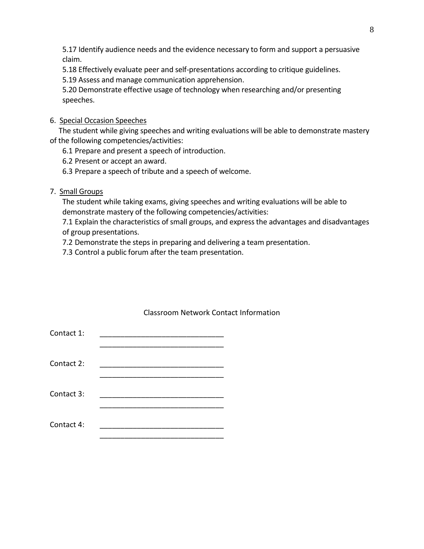5.17 Identify audience needs and the evidence necessary to form and support a persuasive claim.

5.18 Effectively evaluate peer and self-presentations according to critique guidelines.

5.19 Assess and manage communication apprehension.

5.20 Demonstrate effective usage of technology when researching and/or presenting speeches.

# 6. Special Occasion Speeches

 The student while giving speeches and writing evaluations will be able to demonstrate mastery of the following competencies/activities:

6.1 Prepare and present a speech of introduction.

6.2 Present or accept an award.

6.3 Prepare a speech of tribute and a speech of welcome.

7. Small Groups

The student while taking exams, giving speeches and writing evaluations will be able to demonstrate mastery of the following competencies/activities:

7.1 Explain the characteristics of small groups, and express the advantages and disadvantages of group presentations.

7.2 Demonstrate the steps in preparing and delivering a team presentation.

7.3 Control a public forum after the team presentation.

| Contact 1: |  |
|------------|--|
| Contact 2: |  |
| Contact 3: |  |
| Contact 4: |  |

## Classroom Network Contact Information